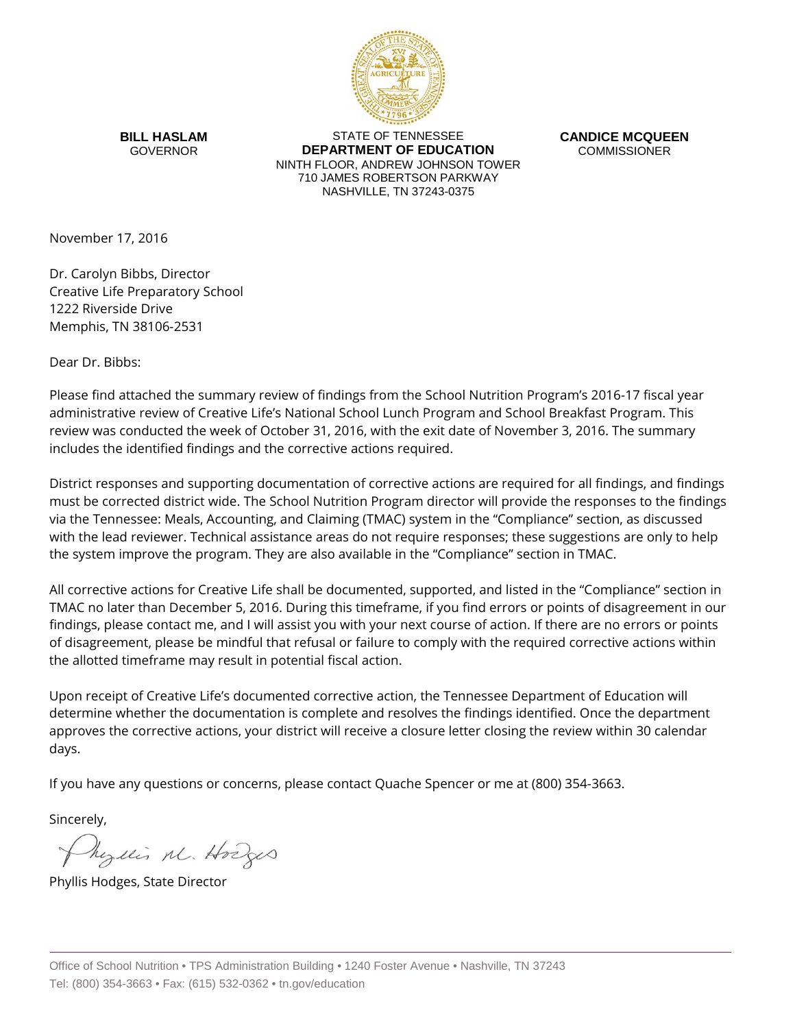

**BILL HASLAM** GOVERNOR

STATE OF TENNESSEE **DEPARTMENT OF EDUCATION** NINTH FLOOR, ANDREW JOHNSON TOWER 710 JAMES ROBERTSON PARKWAY NASHVILLE, TN 37243-0375

**CANDICE MCQUEEN** COMMISSIONER

November 17, 2016

Dr. Carolyn Bibbs, Director Creative Life Preparatory School 1222 Riverside Drive Memphis, TN 38106-2531

Dear Dr. Bibbs:

Please find attached the summary review of findings from the School Nutrition Program's 2016-17 fiscal year administrative review of Creative Life's National School Lunch Program and School Breakfast Program. This review was conducted the week of October 31, 2016, with the exit date of November 3, 2016. The summary includes the identified findings and the corrective actions required.

District responses and supporting documentation of corrective actions are required for all findings, and findings must be corrected district wide. The School Nutrition Program director will provide the responses to the findings via the Tennessee: Meals, Accounting, and Claiming (TMAC) system in the "Compliance" section, as discussed with the lead reviewer. Technical assistance areas do not require responses; these suggestions are only to help the system improve the program. They are also available in the "Compliance" section in TMAC.

All corrective actions for Creative Life shall be documented, supported, and listed in the "Compliance" section in TMAC no later than December 5, 2016. During this timeframe, if you find errors or points of disagreement in our findings, please contact me, and I will assist you with your next course of action. If there are no errors or points of disagreement, please be mindful that refusal or failure to comply with the required corrective actions within the allotted timeframe may result in potential fiscal action.

Upon receipt of Creative Life's documented corrective action, the Tennessee Department of Education will determine whether the documentation is complete and resolves the findings identified. Once the department approves the corrective actions, your district will receive a closure letter closing the review within 30 calendar days.

If you have any questions or concerns, please contact Quache Spencer or me at (800) 354-3663.

Sincerely,

Myllis M. Hodges

Phyllis Hodges, State Director